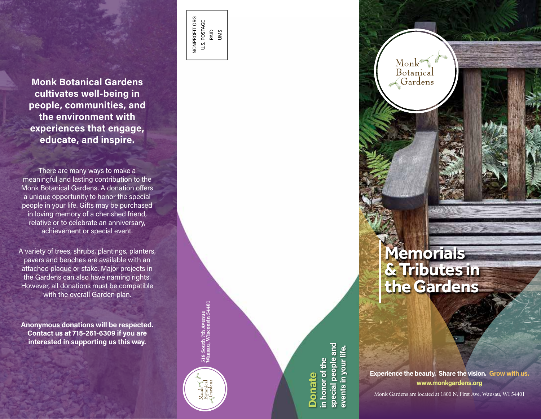**Monk Botanical Gardens cultivates well-being in people, communities, and the environment with experiences that engage, educate, and inspire.**

There are many ways to make a meaningful and lasting contribution to the Monk Botanical Gardens. A donation offers a unique opportunity to honor the special people in your life. Gifts may be purchased in loving memory of a cherished friend, relative or to celebrate an anniversary, achievement or special event.

A variety of trees, shrubs, plantings, planters, pavers and benches are available with an attached plaque or stake. Major projects in the Gardens can also have naming rights. However, all donations must be compatible with the overall Garden plan.

**Anonymous donations will be respected. Contact us at 715-261-6309 if you are interested in supporting us this way.**

NONPROFIT ORG U.S. POSTAGE PAID UMS

> 518 South 7th Avenue Wausau, Wisconsin 54401

518 South 7th Avenue<br>Wausau, Wisconsin 54401

**special people and**  special people and **events in your life. in honor of the**  events in your n honor of the **Donate**



Monk Botanical  $\prec$ Gardens

**Experience the beauty. Share the vision. Grow with us. www.monkgardens.org**

Monk Gardens are located at 1800 N. First Ave, Wausau, WI 54401